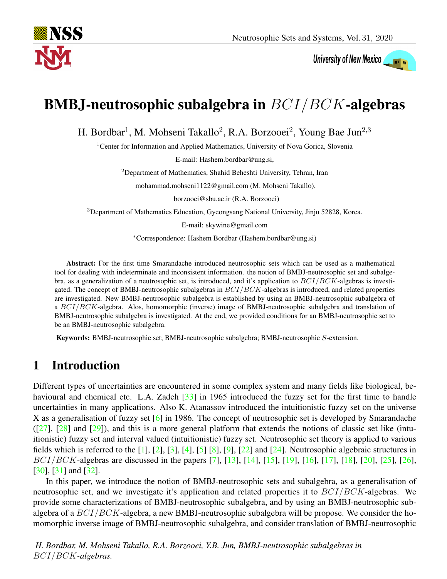

# University of New Mexico

# BMBJ-neutrosophic subalgebra in BCI/BCK-algebras

H. Bordbar<sup>1</sup>, M. Mohseni Takallo<sup>2</sup>, R.A. Borzooei<sup>2</sup>, Young Bae Jun<sup>2,3</sup>

<sup>1</sup>Center for Information and Applied Mathematics, University of Nova Gorica, Slovenia

E-mail: Hashem.bordbar@ung.si,

<sup>2</sup>Department of Mathematics, Shahid Beheshti University, Tehran, Iran

mohammad.mohseni1122@gmail.com (M. Mohseni Takallo),

borzooei@sbu.ac.ir (R.A. Borzooei)

<sup>3</sup>Department of Mathematics Education, Gyeongsang National University, Jinju 52828, Korea.

E-mail: skywine@gmail.com

<sup>∗</sup>Correspondence: Hashem Bordbar (Hashem.bordbar@ung.si)

Abstract: For the first time Smarandache introduced neutrosophic sets which can be used as a mathematical tool for dealing with indeterminate and inconsistent information. the notion of BMBJ-neutrosophic set and subalgebra, as a generalization of a neutrosophic set, is introduced, and it's application to  $BCI/BCK$ -algebras is investigated. The concept of BMBJ-neutrosophic subalgebras in  $BCI/BCK$ -algebras is introduced, and related properties are investigated. New BMBJ-neutrosophic subalgebra is established by using an BMBJ-neutrosophic subalgebra of a BCI/BCK-algebra. Alos, homomorphic (inverse) image of BMBJ-neutrosophic subalgebra and translation of BMBJ-neutrosophic subalgebra is investigated. At the end, we provided conditions for an BMBJ-neutrosophic set to be an BMBJ-neutrosophic subalgebra.

Keywords: BMBJ-neutrosophic set; BMBJ-neutrosophic subalgebra; BMBJ-neutrosophic S-extension.

### 1 Introduction

Different types of uncertainties are encountered in some complex system and many fields like biological, be-havioural and chemical etc. L.A. Zadeh [\[33\]](#page-12-0) in 1965 introduced the fuzzy set for the first time to handle uncertainties in many applications. Also K. Atanassov introduced the intuitionistic fuzzy set on the universe X as a generalisation of fuzzy set [\[6\]](#page-10-0) in 1986. The concept of neutrosophic set is developed by Smarandache  $([27], [28]$  $([27], [28]$  $([27], [28]$  $([27], [28]$  and  $[29]$ ), and this is a more general platform that extends the notions of classic set like (intuitionistic) fuzzy set and interval valued (intuitionistic) fuzzy set. Neutrosophic set theory is applied to various fields which is referred to the  $[1]$ ,  $[2]$ ,  $[3]$ ,  $[4]$ ,  $[5]$   $[8]$ ,  $[9]$ ,  $[22]$  and  $[24]$ . Neutrosophic algebraic structures in  $BCI/BCK$ -algebras are discussed in the papers [\[7\]](#page-10-8), [\[13\]](#page-11-5), [\[14\]](#page-11-6), [\[15\]](#page-11-7), [\[19\]](#page-11-8), [\[16\]](#page-11-9), [\[17\]](#page-11-10), [\[18\]](#page-11-11), [\[20\]](#page-11-12), [\[25\]](#page-11-13), [\[26\]](#page-11-14), [\[30\]](#page-11-15), [\[31\]](#page-11-16) and [\[32\]](#page-12-1).

In this paper, we introduce the notion of BMBJ-neutrosophic sets and subalgebra, as a generalisation of neutrosophic set, and we investigate it's application and related properties it to  $BCI/BCK$ -algebras. We provide some characterizations of BMBJ-neutrosophic subalgebra, and by using an BMBJ-neutrosophic subalgebra of a  $BCI/BCK$ -algebra, a new BMBJ-neutrosophic subalgebra will be propose. We consider the homomorphic inverse image of BMBJ-neutrosophic subalgebra, and consider translation of BMBJ-neutrosophic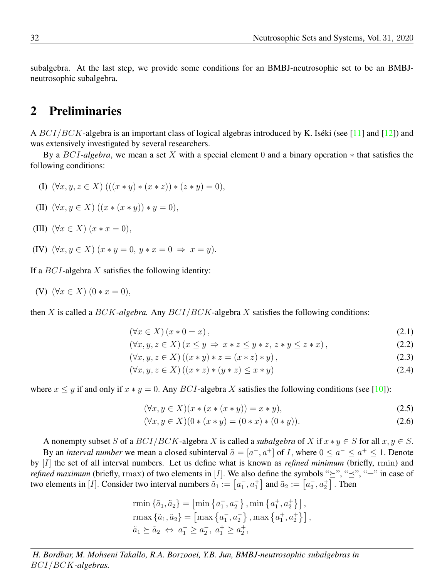subalgebra. At the last step, we provide some conditions for an BMBJ-neutrosophic set to be an BMBJneutrosophic subalgebra.

#### 2 Preliminaries

A  $BCI/BCK$ -algebra is an important class of logical algebras introduced by K. Iséki (see [\[11\]](#page-10-9) and [\[12\]](#page-11-17)) and was extensively investigated by several researchers.

By a BCI*-algebra*, we mean a set X with a special element 0 and a binary operation ∗ that satisfies the following conditions:

- (I)  $(\forall x, y, z \in X)$   $(((x * y) * (x * z)) * (z * y) = 0),$
- (II)  $(\forall x, y \in X) ((x * (x * y)) * y = 0),$
- (III)  $(\forall x \in X) (x * x = 0),$
- (IV)  $(\forall x, y \in X)$   $(x * y = 0, y * x = 0 \Rightarrow x = y)$ .

If a  $BCI$ -algebra X satisfies the following identity:

(V)  $(\forall x \in X) (0 * x = 0),$ 

then X is called a BCK*-algebra.* Any BCI/BCK-algebra X satisfies the following conditions:

$$
(\forall x \in X) (x * 0 = x), \tag{2.1}
$$

$$
(\forall x, y, z \in X) (x \le y \Rightarrow x * z \le y * z, z * y \le z * x), \tag{2.2}
$$

$$
(\forall x, y, z \in X) ((x * y) * z = (x * z) * y),
$$
\n(2.3)

$$
(\forall x, y, z \in X) ((x * z) * (y * z) \le x * y)
$$
\n
$$
(2.4)
$$

where  $x \leq y$  if and only if  $x * y = 0$ . Any BCI-algebra X satisfies the following conditions (see [\[10\]](#page-10-10)):

$$
(\forall x, y \in X)(x * (x * (x * y)) = x * y),
$$
\n(2.5)

$$
(\forall x, y \in X)(0 * (x * y) = (0 * x) * (0 * y)).
$$
\n(2.6)

A nonempty subset S of a  $BCI/BCK$ -algebra X is called a *subalgebra* of X if  $x * y \in S$  for all  $x, y \in S$ . By an *interval number* we mean a closed subinterval  $\tilde{a} = [a^-, a^+]$  of I, where  $0 \le a^- \le a^+ \le 1$ . Denote by [I] the set of all interval numbers. Let us define what is known as *refined minimum* (briefly, rmin) and *refined maximum* (briefly, rmax) of two elements in [I]. We also define the symbols " $\geq$ ", " $\preceq$ ", "=" in case of two elements in [*I*]. Consider two interval numbers  $\tilde{a}_1 := \left[a_1, a_1^+\right]$  and  $\tilde{a}_2 := \left[a_2^-, a_2^+\right]$ . Then

rmin 
$$
\{\tilde{a}_1, \tilde{a}_2\} = [\min \{a_1^-, a_2^-\}, \min \{a_1^+, a_2^+\}\]
$$
,  
\n $\text{rmax } \{\tilde{a}_1, \tilde{a}_2\} = [\max \{a_1^-, a_2^-\}, \max \{a_1^+, a_2^+\}\]$ ,  
\n $\tilde{a}_1 \succeq \tilde{a}_2 \Leftrightarrow a_1^- \ge a_2^-, a_1^+ \ge a_2^+$ ,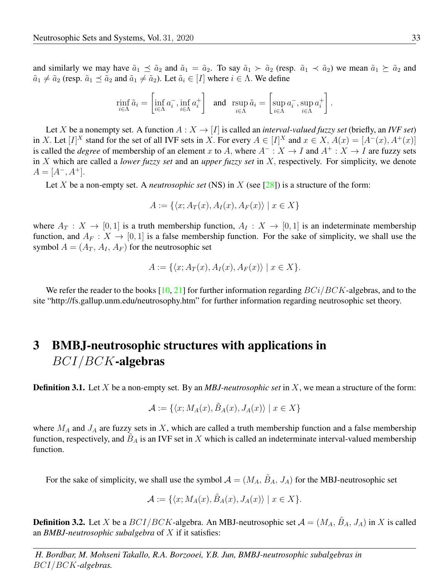and similarly we may have  $\tilde{a}_1 \preceq \tilde{a}_2$  and  $\tilde{a}_1 = \tilde{a}_2$ . To say  $\tilde{a}_1 \succ \tilde{a}_2$  (resp.  $\tilde{a}_1 \prec \tilde{a}_2$ ) we mean  $\tilde{a}_1 \succeq \tilde{a}_2$  and  $\tilde{a}_1 \neq \tilde{a}_2$  (resp.  $\tilde{a}_1 \preceq \tilde{a}_2$  and  $\tilde{a}_1 \neq \tilde{a}_2$ ). Let  $\tilde{a}_i \in [I]$  where  $i \in \Lambda$ . We define

$$
\min_{i \in \Lambda} \tilde{a}_i = \left[ \inf_{i \in \Lambda} a_i^-, \inf_{i \in \Lambda} a_i^+ \right] \quad \text{and} \quad \operatorname{rsup}_{i \in \Lambda} \tilde{a}_i = \left[ \sup_{i \in \Lambda} a_i^-, \sup_{i \in \Lambda} a_i^+ \right].
$$

Let X be a nonempty set. A function  $A: X \to [I]$  is called an *interval-valued fuzzy set* (briefly, an *IVF set*) in X. Let  $[I]^X$  stand for the set of all IVF sets in X. For every  $A \in [I]^X$  and  $x \in X$ ,  $A(x) = [A^-(x), A^+(x)]$ is called the *degree* of membership of an element x to A, where  $A^{-}: X \to I$  and  $A^{+}: X \to I$  are fuzzy sets in X which are called a *lower fuzzy set* and an *upper fuzzy set* in X, respectively. For simplicity, we denote  $A = [A^-, A^+].$ 

Let X be a non-empty set. A *neutrosophic set* (NS) in X (see [\[28\]](#page-11-1)) is a structure of the form:

$$
A := \{ \langle x; A_T(x), A_I(x), A_F(x) \rangle \mid x \in X \}
$$

where  $A_T : X \to [0, 1]$  is a truth membership function,  $A_I : X \to [0, 1]$  is an indeterminate membership function, and  $A_F : X \to [0, 1]$  is a false membership function. For the sake of simplicity, we shall use the symbol  $A = (A_T, A_I, A_F)$  for the neutrosophic set

$$
A := \{ \langle x; A_T(x), A_I(x), A_F(x) \rangle \mid x \in X \}.
$$

We refer the reader to the books  $[10, 21]$  $[10, 21]$  $[10, 21]$  for further information regarding  $BCi/BCK$ -algebras, and to the site "http://fs.gallup.unm.edu/neutrosophy.htm" for further information regarding neutrosophic set theory.

## 3 BMBJ-neutrosophic structures with applications in BCI/BCK-algebras

Definition 3.1. Let X be a non-empty set. By an *MBJ-neutrosophic set* in X, we mean a structure of the form:

$$
\mathcal{A} := \{ \langle x; M_A(x), \tilde{B}_A(x), J_A(x) \rangle \mid x \in X \}
$$

where  $M_A$  and  $J_A$  are fuzzy sets in X, which are called a truth membership function and a false membership function, respectively, and  $\tilde{B}_A$  is an IVF set in X which is called an indeterminate interval-valued membership function.

For the sake of simplicity, we shall use the symbol  $A = (M_A, \tilde{B}_A, J_A)$  for the MBJ-neutrosophic set

$$
\mathcal{A} := \{ \langle x; M_A(x), \tilde{B}_A(x), J_A(x) \rangle \mid x \in X \}.
$$

**Definition 3.2.** Let X be a  $BCI/BCK$ -algebra. An MBJ-neutrosophic set  $A = (M_A, B_A, J_A)$  in X is called an *BMBJ-neutrosophic subalgebra* of X if it satisfies: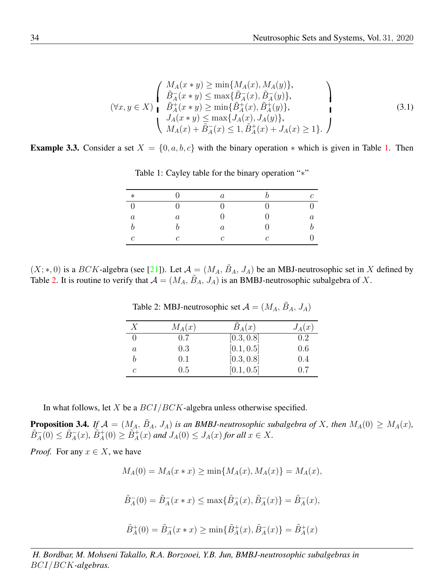$$
(\forall x, y \in X) \begin{cases} M_A(x * y) \ge \min\{M_A(x), M_A(y)\}, \\ \tilde{B}_A^-(x * y) \le \max\{\tilde{B}_A^-(x), \tilde{B}_A^-(y)\}, \\ \tilde{B}_A^+(x * y) \ge \min\{\tilde{B}_A^+(x), \tilde{B}_A^+(y)\}, \\ J_A(x * y) \le \max\{J_A(x), J_A(y)\}, \\ M_A(x) + \tilde{B}_A^-(x) \le 1, \tilde{B}_A^+(x) + J_A(x) \ge 1\}. \end{cases}
$$
\n(3.1)

<span id="page-3-3"></span>**Example 3.3.** Consider a set  $X = \{0, a, b, c\}$  with the binary operation  $*$  which is given in Table [1.](#page-3-0) Then

| $\ast$           |            | $\overline{a}$ |   | ↷ |
|------------------|------------|----------------|---|---|
|                  |            |                |   |   |
| $\boldsymbol{a}$ | a          |                |   |   |
|                  |            | $\it a$        |   |   |
| $\mathcal{C}$    | $\epsilon$ | $\mathcal{C}$  | C |   |

<span id="page-3-0"></span>Table 1: Cayley table for the binary operation "<sup>\*</sup>"

 $(X;*,0)$  is a BCK-algebra (see [\[21\]](#page-11-18)). Let  $\mathcal{A} = (M_A, \tilde{B}_A, J_A)$  be an MBJ-neutrosophic set in X defined by Table [2.](#page-3-1) It is routine to verify that  $A = (M_A, \tilde{B}_A, J_A)$  is an BMBJ-neutrosophic subalgebra of X.

| X        | $M_A(x)$ | $B_A(x)$   | $J_A(x)$ |
|----------|----------|------------|----------|
| $\theta$ | 0.7      | [0.3, 0.8] | 0.2      |
| a        | 0.3      | [0.1, 0.5] | 0.6      |
| h        | 0.1      | [0.3, 0.8] | 0.4      |
| C        | 0.5      | [0.1, 0.5] | 0.7      |

<span id="page-3-1"></span>Table 2: MBJ-neutrosophic set  $A = (M_A, \tilde{B}_A, J_A)$ 

In what follows, let  $X$  be a  $BCI/BCK$ -algebra unless otherwise specified.

<span id="page-3-2"></span>**Proposition 3.4.** If  $\mathcal{A} = (M_A, \tilde{B}_A, J_A)$  is an BMBJ-neutrosophic subalgebra of X, then  $M_A(0) \geq M_A(x)$ ,  $\tilde{B}_A^-(0) \leq \tilde{B}_A^-(x)$ ,  $\tilde{B}_A^+(0) \geq \tilde{B}_A^+(x)$  and  $J_A(0) \leq J_A(x)$  for all  $x \in X$ .

*Proof.* For any  $x \in X$ , we have

$$
M_A(0) = M_A(x * x) \ge \min\{M_A(x), M_A(x)\} = M_A(x),
$$

$$
\tilde{B}_A^-(0) = \tilde{B}_A^-(x*x) \le \max\{\tilde{B}_A^-(x), \tilde{B}_A^-(x)\} = \tilde{B}_A^-(x),
$$

$$
\tilde{B}_A^+(0) = \tilde{B}_A^-(x*x) \ge \min\{\tilde{B}_A^+(x), \tilde{B}_A^-(x)\} = \tilde{B}_A^+(x)
$$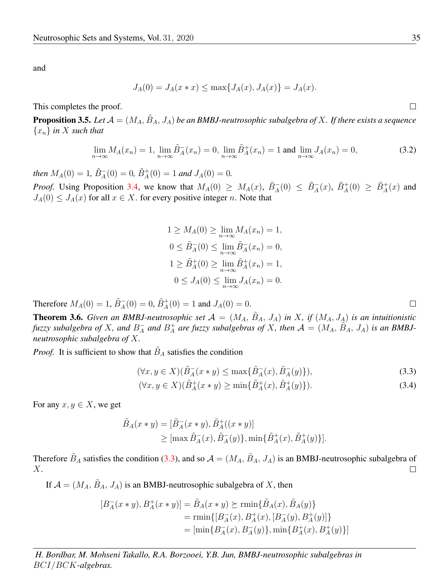and

$$
J_A(0) = J_A(x * x) \le \max\{J_A(x), J_A(x)\} = J_A(x).
$$

This completes the proof.

**Proposition 3.5.** Let  $A = (M_A, \tilde{B}_A, J_A)$  be an BMBJ-neutrosophic subalgebra of X. If there exists a sequence {xn} *in* X *such that*

$$
\lim_{n \to \infty} M_A(x_n) = 1, \lim_{n \to \infty} \tilde{B}_A^-(x_n) = 0, \lim_{n \to \infty} \tilde{B}_A^+(x_n) = 1 \text{ and } \lim_{n \to \infty} J_A(x_n) = 0,
$$
\n(3.2)

*then*  $M_A(0) = 1$ ,  $\tilde{B}_A^-(0) = 0$ ,  $\tilde{B}_A^+(0) = 1$  *and*  $J_A(0) = 0$ .

*Proof.* Using Proposition [3.4,](#page-3-2) we know that  $M_A(0) \geq M_A(x)$ ,  $\tilde{B}_A^-(0) \leq \tilde{B}_A^+(x)$ ,  $\tilde{B}_A^+(0) \geq \tilde{B}_A^+(x)$  and  $J_A(0) \leq J_A(x)$  for all  $x \in X$ . for every positive integer n. Note that

$$
1 \ge M_A(0) \ge \lim_{n \to \infty} M_A(x_n) = 1,
$$
  
\n
$$
0 \le \tilde{B}_A(0) \le \lim_{n \to \infty} \tilde{B}_A(x_n) = 0,
$$
  
\n
$$
1 \ge \tilde{B}_A^+(0) \ge \lim_{n \to \infty} \tilde{B}_A^+(x_n) = 1,
$$
  
\n
$$
0 \le J_A(0) \le \lim_{n \to \infty} J_A(x_n) = 0.
$$

Therefore  $M_A(0) = 1$ ,  $\tilde{B}_A^-(0) = 0$ ,  $\tilde{B}_A^+(0) = 1$  and  $J_A(0) = 0$ .

<span id="page-4-1"></span>**Theorem 3.6.** Given an BMBJ-neutrosophic set  $\mathcal{A} = (M_A, \tilde{B}_A, J_A)$  in X, if  $(M_A, J_A)$  is an intuitionistic *fuzzy* subalgebra of X, and  $B_A^-$  and  $B_A^+$  are fuzzy subalgebras of X, then  $\mathcal{A} = (M_A, \tilde{B}_A, J_A)$  is an BMBJ*neutrosophic subalgebra of* X*.*

*Proof.* It is sufficient to show that  $B_A$  satisfies the condition

$$
(\forall x, y \in X)(\tilde{B}_A^-(x * y) \le \max\{\tilde{B}_A^-(x), \tilde{B}_A^-(y)\}),\tag{3.3}
$$

$$
(\forall x, y \in X)(\tilde{B}^+_A(x*y) \ge \min\{\tilde{B}^+_A(x), \tilde{B}^+_A(y)\}).
$$
\n(3.4)

For any  $x, y \in X$ , we get

$$
\tilde{B}_A(x * y) = [\tilde{B}_A^-(x * y), \tilde{B}_A^+((x * y))]
$$
\n
$$
\geq [\max \tilde{B}_A^-(x), \tilde{B}_A^-(y)], \min \{\tilde{B}_A^+(x), \tilde{B}_A^+(y)\}].
$$

Therefore  $\tilde{B}_A$  satisfies the condition [\(3.3\)](#page-4-0), and so  $\mathcal{A} = (M_A, \tilde{B}_A, J_A)$  is an BMBJ-neutrosophic subalgebra of X.  $\Box$ 

If  $A = (M_A, B_A, J_A)$  is an BMBJ-neutrosophic subalgebra of X, then

$$
[B_A^-(x*y), B_A^+(x*y)] = \tilde{B}_A(x*y) \succeq \min\{\tilde{B}_A(x), \tilde{B}_A(y)\}
$$
  
= 
$$
\min\{[B_A^-(x), B_A^+(x), [B_A^-(y), B_A^+(y)]\}
$$
  
= 
$$
[\min\{B_A^-(x), B_A^-(y)\}, \min\{B_A^+(x), B_A^+(y)\}]
$$

*H. Bordbar, M. Mohseni Takallo, R.A. Borzooei, Y.B. Jun, BMBJ-neutrosophic subalgebras in* BCI/BCK*-algebras.*

<span id="page-4-0"></span> $\Box$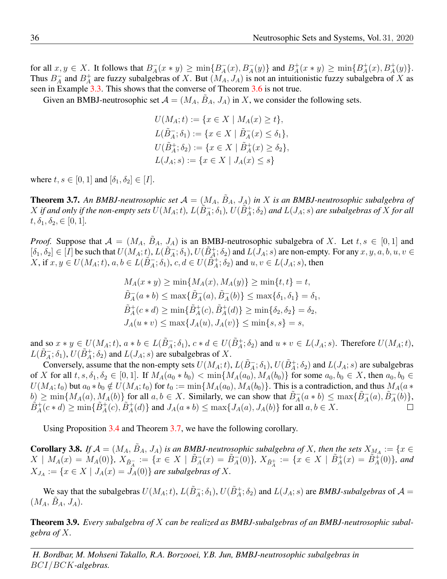for all  $x, y \in X$ . It follows that  $B_A^-(x * y) \ge \min\{B_A^-(x), B_A^-(y)\}\$  and  $B_A^+(x * y) \ge \min\{B_A^+(x), B_A^+(y)\}\$ . Thus  $B_A^-$  and  $B_A^+$  are fuzzy subalgebras of X. But  $(M_A, J_A)$  is not an intuitionistic fuzzy subalgebra of X as seen in Example [3.3.](#page-3-3) This shows that the converse of Theorem [3.6](#page-4-1) is not true.

Given an BMBJ-neutrosophic set  $\mathcal{A} = (M_A, B_A, J_A)$  in X, we consider the following sets.

$$
U(M_A; t) := \{ x \in X \mid M_A(x) \ge t \},
$$
  
\n
$$
L(\tilde{B}_A^-; \delta_1) := \{ x \in X \mid \tilde{B}_A^-(x) \le \delta_1 \},
$$
  
\n
$$
U(\tilde{B}_A^+; \delta_2) := \{ x \in X \mid \tilde{B}_A^+(x) \ge \delta_2 \},
$$
  
\n
$$
L(J_A; s) := \{ x \in X \mid J_A(x) \le s \}
$$

where  $t, s \in [0, 1]$  and  $[\delta_1, \delta_2] \in [I]$ .

<span id="page-5-0"></span>**Theorem 3.7.** An BMBJ-neutrosophic set  $A = (M_A, B_A, J_A)$  in X is an BMBJ-neutrosophic subalgebra of  $X$  *if and only if the non-empty sets*  $U(M_A;t)$ ,  $L(\tilde{B}_A^-;\delta_1)$ ,  $U(\tilde{B}_A^+;\delta_2)$  *and*  $L(J_A;s)$  *are subalgebras of*  $X$  *for all*  $t, \delta_1, \delta_2 \in [0, 1].$ 

*Proof.* Suppose that  $A = (M_A, B_A, J_A)$  is an BMBJ-neutrosophic subalgebra of X. Let  $t, s \in [0, 1]$  and  $[\delta_1, \delta_2] \in [I]$  be such that  $U(M_A; t)$ ,  $L(\tilde{B}_A^-; \delta_1)$ ,  $U(\tilde{B}_A^+; \delta_2)$  and  $L(\tilde{J}_A; s)$  are non-empty. For any  $x, y, a, b, u, v \in$  $X,$  if  $x, y \in U(M_A; t), a, b \in L(\tilde{B}_A^-; \delta_1), c, d \in U(\tilde{B}_A^+; \delta_2)$  and  $u, v \in L(J_A; s)$ , then

$$
M_A(x * y) \ge \min\{M_A(x), M_A(y)\} \ge \min\{t, t\} = t,
$$
  
\n
$$
\tilde{B}_A^-(a * b) \le \max\{\tilde{B}_A^-(a), \tilde{B}_A^-(b)\} \le \max\{\delta_1, \delta_1\} = \delta_1,
$$
  
\n
$$
\tilde{B}_A^+(c * d) \ge \min\{\tilde{B}_A^+(c), \tilde{B}_A^+(d)\} \ge \min\{\delta_2, \delta_2\} = \delta_2,
$$
  
\n
$$
J_A(u * v) \le \max\{J_A(u), J_A(v)\} \le \min\{s, s\} = s,
$$

and so  $x * y \in U(M_A; t)$ ,  $a * b \in L(\tilde{B}_A^-; \delta_1)$ ,  $c * d \in U(\tilde{B}_A^+; \delta_2)$  and  $u * v \in L(J_A; s)$ . Therefore  $U(M_A; t)$ ,  $L(\tilde{B}_A^-;\delta_1)$ ,  $U(\tilde{B}_A^+;\delta_2)$  and  $L(J_A; s)$  are subalgebras of X.

Conversely, assume that the non-empty sets  $U(M_A; t)$ ,  $L(\tilde{B}_A^-; \delta_1)$ ,  $U(\tilde{B}_A^+; \delta_2)$  and  $L(J_A; s)$  are subalgebras of X for all  $t, s, \delta_1, \delta_2 \in [0, 1]$ . If  $M_A(a_0 * b_0) < \min\{M_A(a_0), M_A(b_0)\}\)$  for some  $a_0, b_0 \in X$ , then  $a_0, b_0 \in X$  $U(M_A; t_0)$  but  $a_0 * b_0 \notin U(M_A; t_0)$  for  $t_0 := \min\{M_A(a_0), M_A(b_0)\}\.$  This is a contradiction, and thus  $M_A(a * b_0)$  $b) \ge \min\{M_A(a), M_A(b)\}\$  for all  $a, b \in X$ . Similarly, we can show that  $\tilde{B}_A^-(a * b) \le \max\{\tilde{B}_A^-(a), \tilde{B}_A^-(b)\}\$ ,  $\tilde{B}^+_A(c*d) \ge \min\{\tilde{B}^+_A(c), \tilde{B}^+_A(d)\}\$  and  $J_A(a*b) \le \max\{J_A(a), J_A(b)\}\$  for all  $a, b \in X$ .

Using Proposition [3.4](#page-3-2) and Theorem [3.7,](#page-5-0) we have the following corollary.

**Corollary 3.8.** *If*  $A = (M_A, \tilde{B}_A, J_A)$  *is an BMBJ-neutrosophic subalgebra of* X, *then the sets*  $X_{M_A} := \{x \in$  $X \mid M_A(x) = M_A(0)$ ,  $X_{\tilde{B}^-_A} := \{x \in X \mid \tilde{B}^-_A(x) = \tilde{B}^-_A(0)\}$ ,  $X_{\tilde{B}^+_A} := \{x \in X \mid \tilde{B}^+_A(x) = \tilde{B}^+_A(0)\}$ , and  $X_{J_A} := \{x \in X \mid J_A(x) = J_A(0)\}\$ are *subalgebras of* X.

We say that the subalgebras  $U(M_A; t)$ ,  $L(\tilde{B}_A^-; \delta_1)$ ,  $U(\tilde{B}_A^+; \delta_2)$  and  $L(J_A; s)$  are *BMBJ-subalgebras* of  $A =$  $(M_A, B_A, J_A).$ 

Theorem 3.9. *Every subalgebra of* X *can be realized as BMBJ-subalgebras of an BMBJ-neutrosophic subalgebra of* X*.*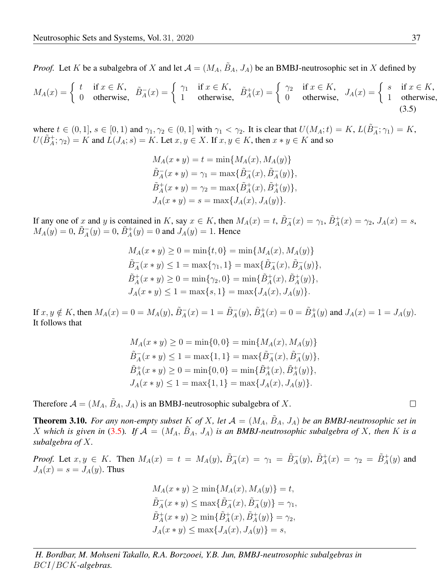*Proof.* Let K be a subalgebra of X and let  $A = (M_A, \tilde{B}_A, J_A)$  be an BMBJ-neutrosophic set in X defined by

$$
M_A(x) = \begin{cases} t & \text{if } x \in K, \\ 0 & \text{otherwise,} \end{cases} \quad \tilde{B}_A^-(x) = \begin{cases} \gamma_1 & \text{if } x \in K, \\ 1 & \text{otherwise,} \end{cases} \quad \tilde{B}_A^+(x) = \begin{cases} \gamma_2 & \text{if } x \in K, \\ 0 & \text{otherwise,} \end{cases} \quad J_A(x) = \begin{cases} s & \text{if } x \in K, \\ 1 & \text{otherwise,} \end{cases}
$$

where  $t \in (0,1], s \in [0,1)$  and  $\gamma_1, \gamma_2 \in (0,1]$  with  $\gamma_1 < \gamma_2$ . It is clear that  $U(M_A; t) = K$ ,  $L(\tilde{B}_A^-; \gamma_1) = K$ ,  $U(\tilde{B}^+_A; \gamma_2) = K$  and  $L(J_A; s) = K$ . Let  $x, y \in X$ . If  $x, y \in K$ , then  $x * y \in K$  and so

<span id="page-6-0"></span>
$$
M_A(x * y) = t = \min\{M_A(x), M_A(y)\}
$$
  
\n
$$
\tilde{B}_A^-(x * y) = \gamma_1 = \max\{\tilde{B}_A^-(x), \tilde{B}_A^-(y)\},
$$
  
\n
$$
\tilde{B}_A^+(x * y) = \gamma_2 = \max\{\tilde{B}_A^+(x), \tilde{B}_A^+(y)\},
$$
  
\n
$$
J_A(x * y) = s = \max\{J_A(x), J_A(y)\}.
$$

If any one of x and y is contained in K, say  $x \in K$ , then  $M_A(x) = t$ ,  $\tilde{B}_A^-(x) = \gamma_1$ ,  $\tilde{B}_A^+(x) = \gamma_2$ ,  $J_A(x) = s$ ,  $M_A(y) = 0, \,\tilde{B}_A^-(y) = 0, \,\tilde{B}_A^+(y) = 0$  and  $J_A(y) = 1$ . Hence

$$
M_A(x * y) \ge 0 = \min\{t, 0\} = \min\{M_A(x), M_A(y)\}
$$
  

$$
\tilde{B}_A^-(x * y) \le 1 = \max\{\gamma_1, 1\} = \max\{\tilde{B}_A^-(x), \tilde{B}_A^-(y)\},
$$
  

$$
\tilde{B}_A^+(x * y) \ge 0 = \min\{\gamma_2, 0\} = \min\{\tilde{B}_A^+(x), \tilde{B}_A^+(y)\},
$$
  

$$
J_A(x * y) \le 1 = \max\{s, 1\} = \max\{J_A(x), J_A(y)\}.
$$

If  $x, y \notin K$ , then  $M_A(x) = 0 = M_A(y)$ ,  $\tilde{B}_A^-(x) = 1 = \tilde{B}_A^-(y)$ ,  $\tilde{B}_A^+(x) = 0 = \tilde{B}_A^+(y)$  and  $J_A(x) = 1 = J_A(y)$ . It follows that

$$
M_A(x * y) \ge 0 = \min\{0, 0\} = \min\{M_A(x), M_A(y)\}
$$
  
\n
$$
\tilde{B}_A^-(x * y) \le 1 = \max\{1, 1\} = \max\{\tilde{B}_A^-(x), \tilde{B}_A^-(y)\},
$$
  
\n
$$
\tilde{B}_A^+(x * y) \ge 0 = \min\{0, 0\} = \min\{\tilde{B}_A^+(x), \tilde{B}_A^+(y)\},
$$
  
\n
$$
J_A(x * y) \le 1 = \max\{1, 1\} = \max\{J_A(x), J_A(y)\}.
$$

Therefore  $A = (M_A, B_A, J_A)$  is an BMBJ-neutrosophic subalgebra of X.

**Theorem 3.10.** For any non-empty subset K of X, let  $A = (M_A, \tilde{B}_A, J_A)$  be an BMBJ-neutrosophic set in X which is given in [\(3.5\)](#page-6-0). If  $A = (M_A, B_A, J_A)$  is an BMBJ-neutrosophic subalgebra of X, then K is a *subalgebra of* X*.*

*Proof.* Let  $x, y \in K$ . Then  $M_A(x) = t = M_A(y)$ ,  $\tilde{B}_A^-(x) = \gamma_1 = \tilde{B}_A^-(y)$ ,  $\tilde{B}_A^+(x) = \gamma_2 = \tilde{B}_A^+(y)$  and  $J_A(x) = s = J_A(y)$ . Thus

> $M_A(x * y) \ge \min\{M_A(x), M_A(y)\} = t,$  $\tilde{B}_A^-(x * y) \le \max\{\tilde{B}_A^-(x), \tilde{B}_A^-(y)\} = \gamma_1,$  $\tilde{B}^+_{A}(x * y) \ge \min\{\tilde{B}^+_{A}(x), \tilde{B}^+_{A}(y)\} = \gamma_2,$  $J_A(x * y) \le \max\{J_A(x), J_A(y)\} = s,$

*H. Bordbar, M. Mohseni Takallo, R.A. Borzooei, Y.B. Jun, BMBJ-neutrosophic subalgebras in* BCI/BCK*-algebras.*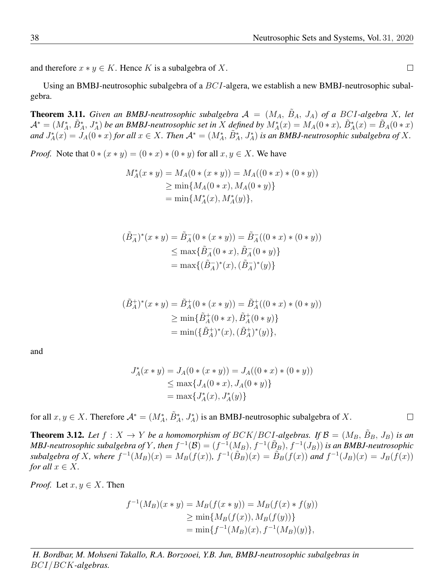and therefore  $x * y \in K$ . Hence K is a subalgebra of X.

Using an BMBJ-neutrosophic subalgebra of a  $BCI$ -algera, we establish a new BMBJ-neutrosophic subalgebra.

**Theorem 3.11.** *Given an BMBJ-neutrosophic subalgebra*  $A = (M_A, B_A, J_A)$  *of a BCI-algebra* X, *let*  $\mathcal{A}^*=(M_A^*,\tilde{B}_A^*,J_A^*)$  be an BMBJ-neutrosophic set in X defined by  $M_A^*(x)=M_A(0*x)$ ,  $\tilde{B}_A^*(x)=\tilde{B}_A(0*x)$  $\lim_{t \to \infty} J_A^*(x) = J_A(0*x)$  *for all*  $x \in X$ . Then  $\mathcal{A}^* = (M_A^*, \tilde{B}_A^*, J_A^*)$  *is an BMBJ-neutrosophic subalgebra of* X.

*Proof.* Note that  $0 * (x * y) = (0 * x) * (0 * y)$  for all  $x, y \in X$ . We have

$$
M_A^*(x * y) = M_A(0 * (x * y)) = M_A((0 * x) * (0 * y))
$$
  
\n
$$
\geq \min \{ M_A(0 * x), M_A(0 * y) \}
$$
  
\n
$$
= \min \{ M_A^*(x), M_A^*(y) \},
$$

$$
(\tilde{B}_A^-)^*(x * y) = \tilde{B}_A^-(0 * (x * y)) = \tilde{B}_A^-(0 * x) * (0 * y))
$$
  
\n
$$
\leq \max{\{\tilde{B}_A^-(0 * x), \tilde{B}_A^-(0 * y)\}}
$$
  
\n
$$
= \max{\{(\tilde{B}_A^+)^*(x), (\tilde{B}_A^+)^*(y)\}}
$$

$$
(\tilde{B}_{A}^{+})^{*}(x * y) = \tilde{B}_{A}^{+}(0 * (x * y)) = \tilde{B}_{A}^{+}((0 * x) * (0 * y))
$$
  
\n
$$
\geq \min{\{\tilde{B}_{A}^{+}(0 * x), \tilde{B}_{A}^{+}(0 * y)\}}
$$
  
\n
$$
= \min({\{\tilde{B}_{A}^{+})^{*}(x), (\tilde{B}_{A}^{+})^{*}(y)\}},
$$

and

$$
J_A^*(x * y) = J_A(0 * (x * y)) = J_A((0 * x) * (0 * y))
$$
  
\n
$$
\leq \max\{J_A(0 * x), J_A(0 * y)\}
$$
  
\n
$$
= \max\{J_A^*(x), J_A^*(y)\}
$$

for all  $x, y \in X$ . Therefore  $\mathcal{A}^* = (M_A^*, \tilde{B}_A^*, J_A^*)$  is an BMBJ-neutrosophic subalgebra of X.

**Theorem 3.12.** Let  $f : X \to Y$  be a homomorphism of  $BCK/BCI$ -algebras. If  $\mathcal{B} = (M_B, \tilde{B}_B, J_B)$  is an *MBJ-neutrosophic subalgebra of* Y, *then*  $f^{-1}(\mathcal{B}) = (f^{-1}(M_B), f^{-1}(\tilde{B}_B), f^{-1}(J_B))$  *is an BMBJ-neutrosophic subalgebra* of X, where  $f^{-1}(M_B)(x) = M_B(f(x))$ ,  $f^{-1}(\tilde{B}_B)(x) = \tilde{B}_B(f(x))$  and  $f^{-1}(J_B)(x) = J_B(f(x))$ *for all*  $x \in X$ *.* 

*Proof.* Let  $x, y \in X$ . Then

$$
f^{-1}(M_B)(x * y) = M_B(f(x * y)) = M_B(f(x) * f(y))
$$
  
\n
$$
\geq \min\{M_B(f(x)), M_B(f(y))\}
$$
  
\n
$$
= \min\{f^{-1}(M_B)(x), f^{-1}(M_B)(y)\},
$$

*H. Bordbar, M. Mohseni Takallo, R.A. Borzooei, Y.B. Jun, BMBJ-neutrosophic subalgebras in* BCI/BCK*-algebras.*

 $\Box$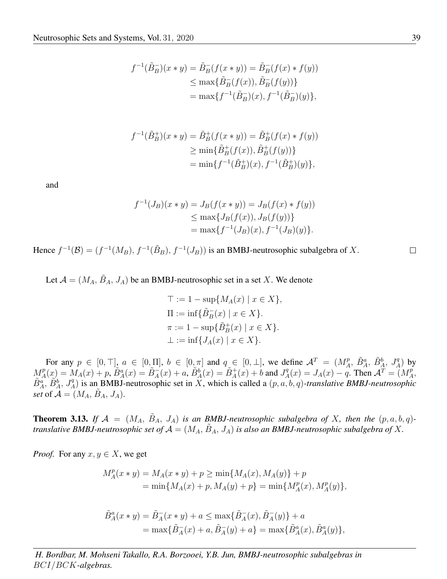$$
f^{-1}(\tilde{B}_B^{-})(x*y) = \tilde{B}_B^{-}(f(x*y)) = \tilde{B}_B^{-}(f(x)*f(y))
$$
  
\n
$$
\leq \max{\{\tilde{B}_B^{-}(f(x)), \tilde{B}_B^{-}(f(y))\}}
$$
  
\n
$$
= \max{f^{-1}(\tilde{B}_B^{-})(x), f^{-1}(\tilde{B}_B^{-})(y)}},
$$

$$
f^{-1}(\tilde{B}_B^+)(x * y) = \tilde{B}_B^+(f(x * y)) = \tilde{B}_B^+(f(x) * f(y))
$$
  
\n
$$
\geq \min{\{\tilde{B}_B^+(f(x)), \tilde{B}_B^+(f(y))\}}
$$
  
\n
$$
= \min{f^{-1}(\tilde{B}_B^+)(x), f^{-1}(\tilde{B}_B^+)(y)}},
$$

and

$$
f^{-1}(J_B)(x * y) = J_B(f(x * y)) = J_B(f(x) * f(y))
$$
  
\n
$$
\leq \max\{J_B(f(x)), J_B(f(y))\}
$$
  
\n
$$
= \max\{f^{-1}(J_B)(x), f^{-1}(J_B)(y)\}.
$$

Hence  $f^{-1}(\mathcal{B}) = (f^{-1}(M_B), f^{-1}(\tilde{B}_B), f^{-1}(J_B))$  is an BMBJ-neutrosophic subalgebra of X.

Let  $\mathcal{A} = (M_A, \tilde{B}_A, J_A)$  be an BMBJ-neutrosophic set in a set X. We denote

$$
\begin{aligned} \top &:= 1 - \sup \{ M_A(x) \mid x \in X \}, \\ \Pi &:= \inf \{ \tilde{B}_B^-(x) \mid x \in X \}. \\ \pi &:= 1 - \sup \{ \tilde{B}_B^+(x) \mid x \in X \}. \\ \bot &:= \inf \{ J_A(x) \mid x \in X \}. \end{aligned}
$$

For any  $p \in [0, \top]$ ,  $a \in [0, \Pi]$ ,  $b \in [0, \pi]$  and  $q \in [0, \bot]$ , we define  $\mathcal{A}^T = (M_A^p, \tilde{B}_A^a, \tilde{B}_A^b, J_A^q)$  by  $M_A^p(x) = M_A(x) + p$ ,  $\tilde{B}_A^a(x) = \tilde{B}_A^-(x) + a$ ,  $\tilde{B}_A^b(x) = \tilde{B}_A^+(x) + b$  and  $J_A^q(x) = J_A(x) - q$ . Then  $\mathcal{A}^T = (M_A^p,$  $\tilde{B}_A^a$ ,  $\tilde{B}_A^b$ ,  $J_A^q$ ) is an BMBJ-neutrosophic set in X, which is called a  $(p, a, b, q)$ -translative *BMBJ-neutrosophic set* of  $\mathcal{A} = (M_A, B_A, J_A)$ .

**Theorem 3.13.** If  $A = (M_A, B_A, J_A)$  is an BMBJ-neutrosophic subalgebra of X, then the  $(p, a, b, q)$ *translative BMBJ-neutrosophic set of*  $A = (M_A, B_A, J_A)$  *is also an BMBJ-neutrosophic subalgebra of* X.

*Proof.* For any  $x, y \in X$ , we get

$$
M_A^p(x * y) = M_A(x * y) + p \ge \min\{M_A(x), M_A(y)\} + p
$$
  
=  $\min\{M_A(x) + p, M_A(y) + p\} = \min\{M_A^p(x), M_A^p(y)\},$ 

$$
\tilde{B}_A^a(x * y) = \tilde{B}_A^-(x * y) + a \le \max\{\tilde{B}_A^-(x), \tilde{B}_A^-(y)\} + a
$$
  
=  $\max\{\tilde{B}_A^-(x) + a, \tilde{B}_A^-(y) + a\} = \max\{\tilde{B}_A^a(x), \tilde{B}_A^a(y)\},$ 

*H. Bordbar, M. Mohseni Takallo, R.A. Borzooei, Y.B. Jun, BMBJ-neutrosophic subalgebras in* BCI/BCK*-algebras.*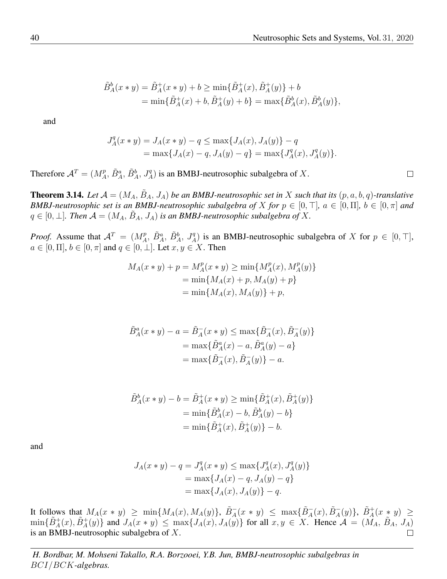$$
\tilde{B}^b_A(x * y) = \tilde{B}^+_A(x * y) + b \ge \min\{\tilde{B}^+_A(x), \tilde{B}^+_A(y)\} + b
$$
  
=  $\min\{\tilde{B}^+_A(x) + b, \tilde{B}^+_A(y) + b\} = \max\{\tilde{B}^b_A(x), \tilde{B}^b_A(y)\},$ 

and

$$
J_A^q(x * y) = J_A(x * y) - q \le \max\{J_A(x), J_A(y)\} - q
$$
  
=  $\max\{J_A(x) - q, J_A(y) - q\} = \max\{J_A^q(x), J_A^q(y)\}.$ 

Therefore  $\mathcal{A}^T = (M_A^p, \tilde{B}_A^a, \tilde{B}_A^b, J_A^q)$  is an BMBJ-neutrosophic subalgebra of X.

**Theorem 3.14.** Let  $\mathcal{A} = (M_A, \tilde{B}_A, J_A)$  be an BMBJ-neutrosophic set in X such that its  $(p, a, b, q)$ -translative *BMBJ-neutrosophic set is an BMBJ-neutrosophic subalgebra of* X *for*  $p \in [0, \top]$ *,*  $a \in [0, \Pi]$ *,*  $b \in [0, \pi]$  *and*  $q \in [0, \perp]$ . Then  $\mathcal{A} = (M_A, \tilde{B}_A, J_A)$  *is an BMBJ-neutrosophic subalgebra of* X.

*Proof.* Assume that  $A^T = (M_A^p, \tilde{B}_A^a, \tilde{B}_A^b, J_A^q)$  is an BMBJ-neutrosophic subalgebra of X for  $p \in [0, \top]$ ,  $a \in [0, \Pi], b \in [0, \pi]$  and  $q \in [0, \bot]$ . Let  $x, y \in X$ . Then

$$
M_A(x * y) + p = M_A^p(x * y) \ge \min\{M_A^p(x), M_A^p(y)\}
$$
  
=  $\min\{M_A(x) + p, M_A(y) + p\}$   
=  $\min\{M_A(x), M_A(y)\} + p,$ 

$$
\tilde{B}_A^a(x * y) - a = \tilde{B}_A^-(x * y) \le \max\{\tilde{B}_A^-(x), \tilde{B}_A^-(y)\}
$$

$$
= \max\{\tilde{B}_A^a(x) - a, \tilde{B}_A^a(y) - a\}
$$

$$
= \max\{\tilde{B}_A^-(x), \tilde{B}_A^-(y)\} - a.
$$

$$
\tilde{B}_{A}^{b}(x * y) - b = \tilde{B}_{A}^{+}(x * y) \ge \min{\{\tilde{B}_{A}^{+}(x), \tilde{B}_{A}^{+}(y)\}}
$$

$$
= \min{\{\tilde{B}_{A}^{b}(x) - b, \tilde{B}_{A}^{b}(y) - b\}}
$$

$$
= \min{\{\tilde{B}_{A}^{+}(x), \tilde{B}_{A}^{+}(y)\}} - b.
$$

and

$$
J_A(x * y) - q = J_A^q(x * y) \le \max\{J_A^q(x), J_A^q(y)\}
$$
  
=  $\max\{J_A(x) - q, J_A(y) - q\}$   
=  $\max\{J_A(x), J_A(y)\} - q$ .

It follows that  $M_A(x * y) \ge \min\{M_A(x), M_A(y)\}, \ \tilde{B}_A^-(x * y) \le \max\{\tilde{B}_A^-(x), \tilde{B}_A^-(y)\}, \ \tilde{B}_A^+(x * y) \ge$  $\min\{\tilde{B}^+_A(x), \tilde{B}^+_A(y)\}\$ and  $J_A(x*y) \leq \max\{J_A(x), J_A(y)\}\$ for all  $x, y \in X$ . Hence  $\mathcal{A} = (M_A, \tilde{B}_A, J_A)$ is an BMBJ-neutrosophic subalgebra of X.  $\Box$ 

*H. Bordbar, M. Mohseni Takallo, R.A. Borzooei, Y.B. Jun, BMBJ-neutrosophic subalgebras in* BCI/BCK*-algebras.*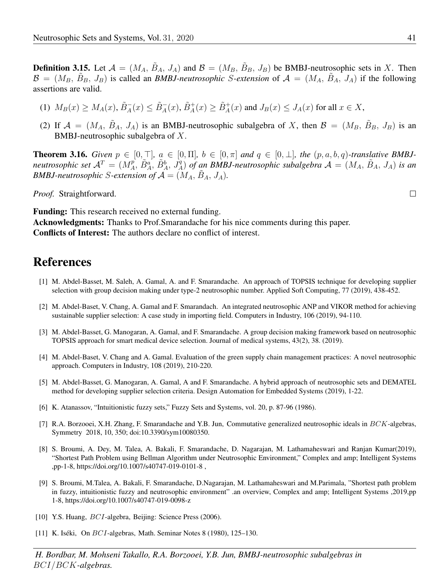**Definition 3.15.** Let  $\mathcal{A} = (M_A, \tilde{B}_A, J_A)$  and  $\mathcal{B} = (M_B, \tilde{B}_B, J_B)$  be BMBJ-neutrosophic sets in X. Then  $\mathcal{B} = (M_B, \tilde{B}_B, J_B)$  is called an *BMBJ-neutrosophic S-extension* of  $\mathcal{A} = (M_A, \tilde{B}_A, J_A)$  if the following assertions are valid.

- (1)  $M_B(x) \ge M_A(x)$ ,  $\tilde{B}_A^-(x) \le \tilde{B}_A^-(x)$ ,  $\tilde{B}_A^+(x) \ge \tilde{B}_A^+(x)$  and  $J_B(x) \le J_A(x)$  for all  $x \in X$ ,
- (2) If  $\mathcal{A} = (M_A, \tilde{B}_A, J_A)$  is an BMBJ-neutrosophic subalgebra of X, then  $\mathcal{B} = (M_B, \tilde{B}_B, J_B)$  is an BMBJ-neutrosophic subalgebra of X.

**Theorem 3.16.** Given  $p \in [0, T]$ ,  $a \in [0, \Pi]$ ,  $b \in [0, \pi]$  and  $q \in [0, \bot]$ , the  $(p, a, b, q)$ -translative BMBJ*neutrosophic set*  $A^T = (M_A^p, \tilde{B}_A^a, \tilde{B}_A^b, J_A^q)$  *of an BMBJ-neutrosophic subalgebra*  $A = (M_A, \tilde{B}_A, J_A)$  *is an BMBJ-neutrosophic S-extension of*  $\mathcal{A} = (M_A, \tilde{B}_A, J_A)$ .

*Proof.* Straightforward.

Funding: This research received no external funding.

Acknowledgments: Thanks to Prof.Smarandache for his nice comments during this paper. Conflicts of Interest: The authors declare no conflict of interest.

#### References

- <span id="page-10-1"></span>[1] M. Abdel-Basset, M. Saleh, A. Gamal, A. and F. Smarandache. An approach of TOPSIS technique for developing supplier selection with group decision making under type-2 neutrosophic number. Applied Soft Computing, 77 (2019), 438-452.
- <span id="page-10-2"></span>[2] M. Abdel-Baset, V. Chang, A. Gamal and F. Smarandach. An integrated neutrosophic ANP and VIKOR method for achieving sustainable supplier selection: A case study in importing field. Computers in Industry, 106 (2019), 94-110.
- <span id="page-10-3"></span>[3] M. Abdel-Basset, G. Manogaran, A. Gamal, and F. Smarandache. A group decision making framework based on neutrosophic TOPSIS approach for smart medical device selection. Journal of medical systems, 43(2), 38. (2019).
- <span id="page-10-4"></span>[4] M. Abdel-Baset, V. Chang and A. Gamal. Evaluation of the green supply chain management practices: A novel neutrosophic approach. Computers in Industry, 108 (2019), 210-220.
- <span id="page-10-5"></span>[5] M. Abdel-Basset, G. Manogaran, A. Gamal, A and F. Smarandache. A hybrid approach of neutrosophic sets and DEMATEL method for developing supplier selection criteria. Design Automation for Embedded Systems (2019), 1-22.
- <span id="page-10-0"></span>[6] K. Atanassov, "Intuitionistic fuzzy sets," Fuzzy Sets and Systems, vol. 20, p. 87-96 (1986).
- <span id="page-10-8"></span>[7] R.A. Borzooei, X.H. Zhang, F. Smarandache and Y.B. Jun, Commutative generalized neutrosophic ideals in BCK-algebras, Symmetry 2018, 10, 350; doi:10.3390/sym10080350.
- <span id="page-10-6"></span>[8] S. Broumi, A. Dey, M. Talea, A. Bakali, F. Smarandache, D. Nagarajan, M. Lathamaheswari and Ranjan Kumar(2019), "Shortest Path Problem using Bellman Algorithm under Neutrosophic Environment," Complex and amp; Intelligent Systems ,pp-1-8, https://doi.org/10.1007/s40747-019-0101-8 ,
- <span id="page-10-7"></span>[9] S. Broumi, M.Talea, A. Bakali, F. Smarandache, D.Nagarajan, M. Lathamaheswari and M.Parimala, "Shortest path problem in fuzzy, intuitionistic fuzzy and neutrosophic environment" .an overview, Complex and amp; Intelligent Systems ,2019,pp 1-8, https://doi.org/10.1007/s40747-019-0098-z
- <span id="page-10-10"></span>[10] Y.S. Huang, *BCI*-algebra, Beijing: Science Press (2006).
- <span id="page-10-9"></span>[11] K. Iséki, On  $BCI$ -algebras, Math. Seminar Notes 8 (1980), 125–130.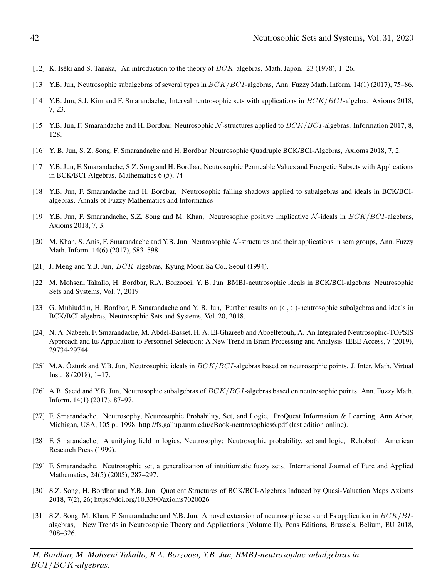- <span id="page-11-17"></span>[12] K. Iséki and S. Tanaka, An introduction to the theory of  $BCK$ -algebras, Math. Japon. 23 (1978), 1–26.
- <span id="page-11-5"></span>[13] Y.B. Jun, Neutrosophic subalgebras of several types in BCK/BCI-algebras, Ann. Fuzzy Math. Inform. 14(1) (2017), 75–86.
- <span id="page-11-6"></span>[14] Y.B. Jun, S.J. Kim and F. Smarandache, Interval neutrosophic sets with applications in BCK/BCI-algebra, Axioms 2018, 7, 23.
- <span id="page-11-7"></span>[15] Y.B. Jun, F. Smarandache and H. Bordbar, Neutrosophic  $N$ -structures applied to  $BCK/BCI$ -algebras, Information 2017, 8, 128.
- <span id="page-11-9"></span>[16] Y. B. Jun, S. Z. Song, F. Smarandache and H. Bordbar Neutrosophic Quadruple BCK/BCI-Algebras, Axioms 2018, 7, 2.
- <span id="page-11-10"></span>[17] Y.B. Jun, F. Smarandache, S.Z. Song and H. Bordbar, Neutrosophic Permeable Values and Energetic Subsets with Applications in BCK/BCI-Algebras, Mathematics 6 (5), 74
- <span id="page-11-11"></span>[18] Y.B. Jun, F. Smarandache and H. Bordbar, Neutrosophic falling shadows applied to subalgebras and ideals in BCK/BCIalgebras, Annals of Fuzzy Mathematics and Informatics
- <span id="page-11-8"></span>[19] Y.B. Jun, F. Smarandache, S.Z. Song and M. Khan, Neutrosophic positive implicative  $N$ -ideals in  $BCK/BCI$ -algebras, Axioms 2018, 7, 3.
- <span id="page-11-12"></span>[20] M. Khan, S. Anis, F. Smarandache and Y.B. Jun, Neutrosophic N -structures and their applications in semigroups, Ann. Fuzzy Math. Inform. 14(6) (2017), 583–598.
- <span id="page-11-18"></span>[21] J. Meng and Y.B. Jun,  $BCK$ -algebras, Kyung Moon Sa Co., Seoul (1994).
- <span id="page-11-3"></span>[22] M. Mohseni Takallo, H. Bordbar, R.A. Borzooei, Y. B. Jun BMBJ-neutrosophic ideals in BCK/BCI-algebras Neutrosophic Sets and Systems, Vol. 7, 2019
- [23] G. Muhiuddin, H. Bordbar, F. Smarandache and Y. B. Jun, Further results on  $(\in, \in)$ -neutrosophic subalgebras and ideals in BCK/BCI-algebras, Neutrosophic Sets and Systems, Vol. 20, 2018.
- <span id="page-11-4"></span>[24] N. A. Nabeeh, F. Smarandache, M. Abdel-Basset, H. A. El-Ghareeb and Aboelfetouh, A. An Integrated Neutrosophic-TOPSIS Approach and Its Application to Personnel Selection: A New Trend in Brain Processing and Analysis. IEEE Access, 7 (2019), 29734-29744.
- <span id="page-11-13"></span>[25] M.A. Öztürk and Y.B. Jun, Neutrosophic ideals in  $BCK/BCI$ -algebras based on neutrosophic points, J. Inter. Math. Virtual Inst. 8 (2018), 1–17.
- <span id="page-11-14"></span>[26] A.B. Saeid and Y.B. Jun, Neutrosophic subalgebras of  $BCK/BCI$ -algebras based on neutrosophic points, Ann. Fuzzy Math. Inform. 14(1) (2017), 87–97.
- <span id="page-11-0"></span>[27] F. Smarandache, Neutrosophy, Neutrosophic Probability, Set, and Logic, ProQuest Information & Learning, Ann Arbor, Michigan, USA, 105 p., 1998. http://fs.gallup.unm.edu/eBook-neutrosophics6.pdf (last edition online).
- <span id="page-11-1"></span>[28] F. Smarandache, A unifying field in logics. Neutrosophy: Neutrosophic probability, set and logic, Rehoboth: American Research Press (1999).
- <span id="page-11-2"></span>[29] F. Smarandache, Neutrosophic set, a generalization of intuitionistic fuzzy sets, International Journal of Pure and Applied Mathematics, 24(5) (2005), 287–297.
- <span id="page-11-15"></span>[30] S.Z. Song, H. Bordbar and Y.B. Jun, Quotient Structures of BCK/BCI-Algebras Induced by Quasi-Valuation Maps Axioms 2018, 7(2), 26; https://doi.org/10.3390/axioms7020026
- <span id="page-11-16"></span>[31] S.Z. Song, M. Khan, F. Smarandache and Y.B. Jun, A novel extension of neutrosophic sets and Fs application in  $BCK/BI$ algebras, New Trends in Neutrosophic Theory and Applications (Volume II), Pons Editions, Brussels, Belium, EU 2018, 308–326.